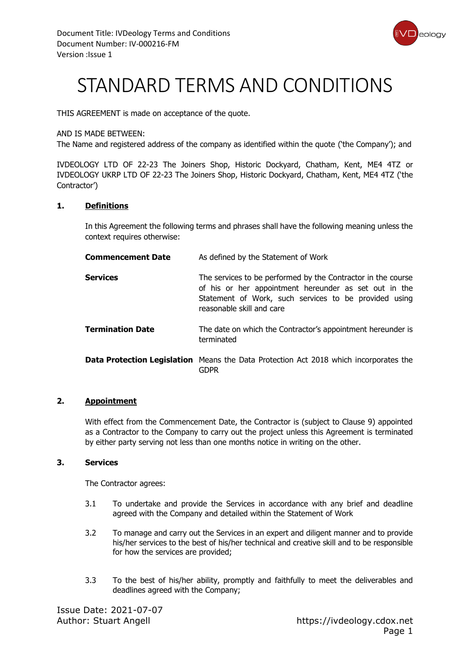

# STANDARD TERMS AND CONDITIONS

THIS AGREEMENT is made on acceptance of the quote.

#### AND IS MADE BETWEEN:

The Name and registered address of the company as identified within the quote ('the Company'); and

IVDEOLOGY LTD OF 22-23 The Joiners Shop, Historic Dockyard, Chatham, Kent, ME4 4TZ or IVDEOLOGY UKRP LTD OF 22-23 The Joiners Shop, Historic Dockyard, Chatham, Kent, ME4 4TZ ('the Contractor')

#### **1. Definitions**

In this Agreement the following terms and phrases shall have the following meaning unless the context requires otherwise:

| <b>Commencement Date</b> | As defined by the Statement of Work                                                                                                                                                                         |
|--------------------------|-------------------------------------------------------------------------------------------------------------------------------------------------------------------------------------------------------------|
| <b>Services</b>          | The services to be performed by the Contractor in the course<br>of his or her appointment hereunder as set out in the<br>Statement of Work, such services to be provided using<br>reasonable skill and care |
| <b>Termination Date</b>  | The date on which the Contractor's appointment hereunder is<br>terminated                                                                                                                                   |
|                          | <b>Data Protection Legislation</b> Means the Data Protection Act 2018 which incorporates the<br>gdpr                                                                                                        |

#### **2. Appointment**

With effect from the Commencement Date, the Contractor is (subject to Clause 9) appointed as a Contractor to the Company to carry out the project unless this Agreement is terminated by either party serving not less than one months notice in writing on the other.

#### **3. Services**

The Contractor agrees:

- 3.1 To undertake and provide the Services in accordance with any brief and deadline agreed with the Company and detailed within the Statement of Work
- 3.2 To manage and carry out the Services in an expert and diligent manner and to provide his/her services to the best of his/her technical and creative skill and to be responsible for how the services are provided;
- 3.3 To the best of his/her ability, promptly and faithfully to meet the deliverables and deadlines agreed with the Company;

Issue Date: 2021-07-07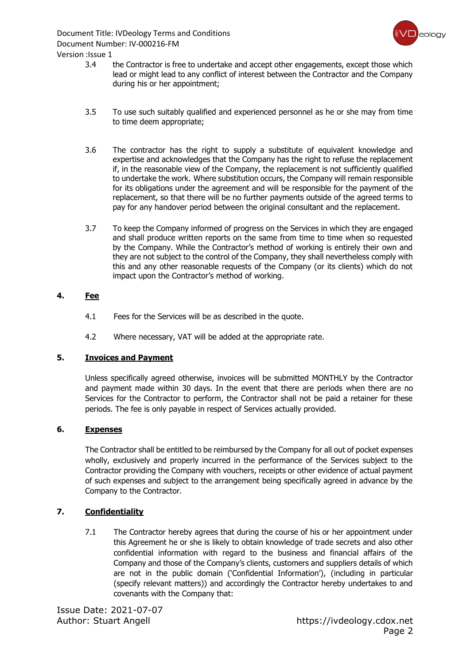

Version :Issue 1

- 3.4 the Contractor is free to undertake and accept other engagements, except those which lead or might lead to any conflict of interest between the Contractor and the Company during his or her appointment;
- 3.5 To use such suitably qualified and experienced personnel as he or she may from time to time deem appropriate;
- 3.6 The contractor has the right to supply a substitute of equivalent knowledge and expertise and acknowledges that the Company has the right to refuse the replacement if, in the reasonable view of the Company, the replacement is not sufficiently qualified to undertake the work. Where substitution occurs, the Company will remain responsible for its obligations under the agreement and will be responsible for the payment of the replacement, so that there will be no further payments outside of the agreed terms to pay for any handover period between the original consultant and the replacement.
- 3.7 To keep the Company informed of progress on the Services in which they are engaged and shall produce written reports on the same from time to time when so requested by the Company. While the Contractor's method of working is entirely their own and they are not subject to the control of the Company, they shall nevertheless comply with this and any other reasonable requests of the Company (or its clients) which do not impact upon the Contractor's method of working.

#### **4. Fee**

- 4.1 Fees for the Services will be as described in the quote.
- 4.2 Where necessary, VAT will be added at the appropriate rate.

#### **5. Invoices and Payment**

Unless specifically agreed otherwise, invoices will be submitted MONTHLY by the Contractor and payment made within 30 days. In the event that there are periods when there are no Services for the Contractor to perform, the Contractor shall not be paid a retainer for these periods. The fee is only payable in respect of Services actually provided.

#### **6. Expenses**

The Contractor shall be entitled to be reimbursed by the Company for all out of pocket expenses wholly, exclusively and properly incurred in the performance of the Services subject to the Contractor providing the Company with vouchers, receipts or other evidence of actual payment of such expenses and subject to the arrangement being specifically agreed in advance by the Company to the Contractor.

#### **7. Confidentiality**

7.1 The Contractor hereby agrees that during the course of his or her appointment under this Agreement he or she is likely to obtain knowledge of trade secrets and also other confidential information with regard to the business and financial affairs of the Company and those of the Company's clients, customers and suppliers details of which are not in the public domain ('Confidential Information'), (including in particular (specify relevant matters)) and accordingly the Contractor hereby undertakes to and covenants with the Company that: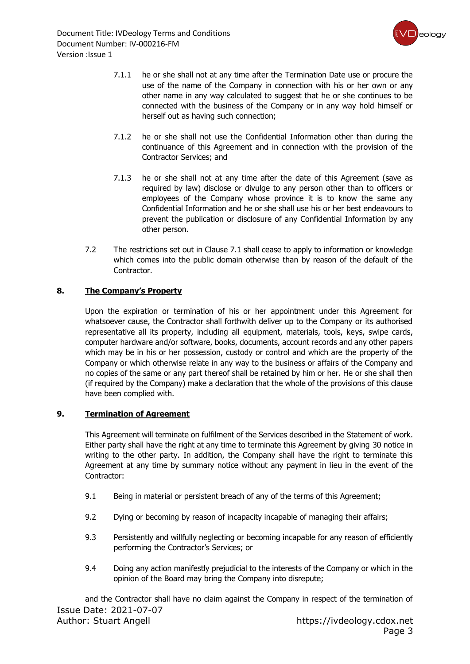

- 7.1.1 he or she shall not at any time after the Termination Date use or procure the use of the name of the Company in connection with his or her own or any other name in any way calculated to suggest that he or she continues to be connected with the business of the Company or in any way hold himself or herself out as having such connection;
- 7.1.2 he or she shall not use the Confidential Information other than during the continuance of this Agreement and in connection with the provision of the Contractor Services; and
- 7.1.3 he or she shall not at any time after the date of this Agreement (save as required by law) disclose or divulge to any person other than to officers or employees of the Company whose province it is to know the same any Confidential Information and he or she shall use his or her best endeavours to prevent the publication or disclosure of any Confidential Information by any other person.
- 7.2 The restrictions set out in Clause 7.1 shall cease to apply to information or knowledge which comes into the public domain otherwise than by reason of the default of the Contractor.

#### **8. The Company's Property**

Upon the expiration or termination of his or her appointment under this Agreement for whatsoever cause, the Contractor shall forthwith deliver up to the Company or its authorised representative all its property, including all equipment, materials, tools, keys, swipe cards, computer hardware and/or software, books, documents, account records and any other papers which may be in his or her possession, custody or control and which are the property of the Company or which otherwise relate in any way to the business or affairs of the Company and no copies of the same or any part thereof shall be retained by him or her. He or she shall then (if required by the Company) make a declaration that the whole of the provisions of this clause have been complied with.

#### **9. Termination of Agreement**

This Agreement will terminate on fulfilment of the Services described in the Statement of work. Either party shall have the right at any time to terminate this Agreement by giving 30 notice in writing to the other party. In addition, the Company shall have the right to terminate this Agreement at any time by summary notice without any payment in lieu in the event of the Contractor:

- 9.1 Being in material or persistent breach of any of the terms of this Agreement;
- 9.2 Dying or becoming by reason of incapacity incapable of managing their affairs;
- 9.3 Persistently and willfully neglecting or becoming incapable for any reason of efficiently performing the Contractor's Services; or
- 9.4 Doing any action manifestly prejudicial to the interests of the Company or which in the opinion of the Board may bring the Company into disrepute;

Issue Date: 2021-07-07 Author: Stuart Angell https://ivdeology.cdox.net and the Contractor shall have no claim against the Company in respect of the termination of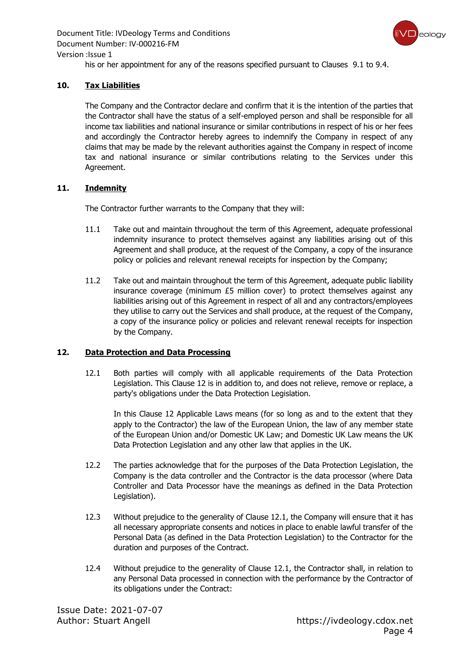

his or her appointment for any of the reasons specified pursuant to Clauses 9.1 to 9.4.

#### **10. Tax Liabilities**

The Company and the Contractor declare and confirm that it is the intention of the parties that the Contractor shall have the status of a self-employed person and shall be responsible for all income tax liabilities and national insurance or similar contributions in respect of his or her fees and accordingly the Contractor hereby agrees to indemnify the Company in respect of any claims that may be made by the relevant authorities against the Company in respect of income tax and national insurance or similar contributions relating to the Services under this Agreement.

#### **11. Indemnity**

The Contractor further warrants to the Company that they will:

- 11.1 Take out and maintain throughout the term of this Agreement, adequate professional indemnity insurance to protect themselves against any liabilities arising out of this Agreement and shall produce, at the request of the Company, a copy of the insurance policy or policies and relevant renewal receipts for inspection by the Company;
- 11.2 Take out and maintain throughout the term of this Agreement, adequate public liability insurance coverage (minimum £5 million cover) to protect themselves against any liabilities arising out of this Agreement in respect of all and any contractors/employees they utilise to carry out the Services and shall produce, at the request of the Company, a copy of the insurance policy or policies and relevant renewal receipts for inspection by the Company.

#### **12. Data Protection and Data Processing**

12.1 Both parties will comply with all applicable requirements of the Data Protection Legislation. This Clause 12 is in addition to, and does not relieve, remove or replace, a party's obligations under the Data Protection Legislation.

In this Clause 12 Applicable Laws means (for so long as and to the extent that they apply to the Contractor) the law of the European Union, the law of any member state of the European Union and/or Domestic UK Law; and Domestic UK Law means the UK Data Protection Legislation and any other law that applies in the UK.

- 12.2 The parties acknowledge that for the purposes of the Data Protection Legislation, the Company is the data controller and the Contractor is the data processor (where Data Controller and Data Processor have the meanings as defined in the Data Protection Legislation).
- 12.3 Without prejudice to the generality of Clause 12.1, the Company will ensure that it has all necessary appropriate consents and notices in place to enable lawful transfer of the Personal Data (as defined in the Data Protection Legislation) to the Contractor for the duration and purposes of the Contract.
- 12.4 Without prejudice to the generality of Clause 12.1, the Contractor shall, in relation to any Personal Data processed in connection with the performance by the Contractor of its obligations under the Contract: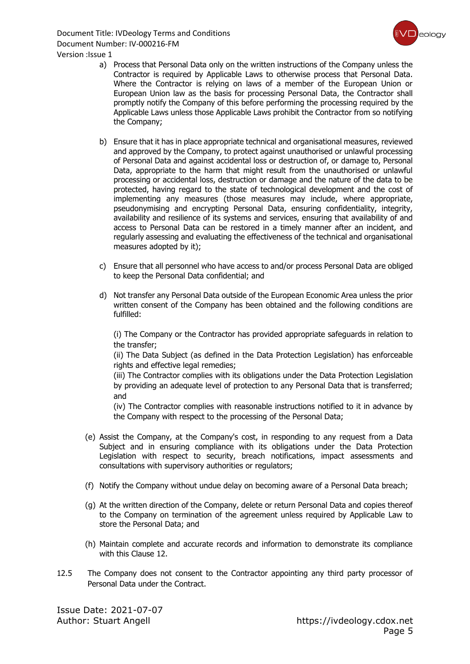

- a) Process that Personal Data only on the written instructions of the Company unless the Contractor is required by Applicable Laws to otherwise process that Personal Data. Where the Contractor is relying on laws of a member of the European Union or European Union law as the basis for processing Personal Data, the Contractor shall promptly notify the Company of this before performing the processing required by the Applicable Laws unless those Applicable Laws prohibit the Contractor from so notifying the Company;
- b) Ensure that it has in place appropriate technical and organisational measures, reviewed and approved by the Company, to protect against unauthorised or unlawful processing of Personal Data and against accidental loss or destruction of, or damage to, Personal Data, appropriate to the harm that might result from the unauthorised or unlawful processing or accidental loss, destruction or damage and the nature of the data to be protected, having regard to the state of technological development and the cost of implementing any measures (those measures may include, where appropriate, pseudonymising and encrypting Personal Data, ensuring confidentiality, integrity, availability and resilience of its systems and services, ensuring that availability of and access to Personal Data can be restored in a timely manner after an incident, and regularly assessing and evaluating the effectiveness of the technical and organisational measures adopted by it);
- c) Ensure that all personnel who have access to and/or process Personal Data are obliged to keep the Personal Data confidential; and
- d) Not transfer any Personal Data outside of the European Economic Area unless the prior written consent of the Company has been obtained and the following conditions are fulfilled:

(i) The Company or the Contractor has provided appropriate safeguards in relation to the transfer;

(ii) The Data Subject (as defined in the Data Protection Legislation) has enforceable rights and effective legal remedies;

(iii) The Contractor complies with its obligations under the Data Protection Legislation by providing an adequate level of protection to any Personal Data that is transferred; and

(iv) The Contractor complies with reasonable instructions notified to it in advance by the Company with respect to the processing of the Personal Data;

- (e) Assist the Company, at the Company's cost, in responding to any request from a Data Subject and in ensuring compliance with its obligations under the Data Protection Legislation with respect to security, breach notifications, impact assessments and consultations with supervisory authorities or regulators;
- (f) Notify the Company without undue delay on becoming aware of a Personal Data breach;
- (g) At the written direction of the Company, delete or return Personal Data and copies thereof to the Company on termination of the agreement unless required by Applicable Law to store the Personal Data; and
- (h) Maintain complete and accurate records and information to demonstrate its compliance with this Clause 12.
- 12.5 The Company does not consent to the Contractor appointing any third party processor of Personal Data under the Contract.

Issue Date: 2021-07-07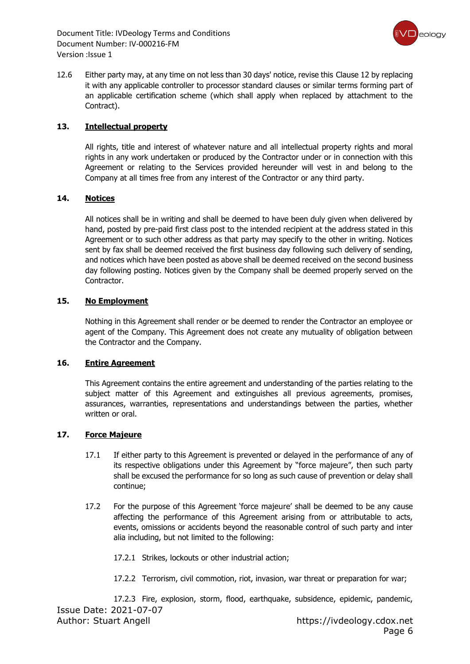

12.6 Either party may, at any time on not less than 30 days' notice, revise this Clause 12 by replacing it with any applicable controller to processor standard clauses or similar terms forming part of an applicable certification scheme (which shall apply when replaced by attachment to the Contract).

#### **13. Intellectual property**

All rights, title and interest of whatever nature and all intellectual property rights and moral rights in any work undertaken or produced by the Contractor under or in connection with this Agreement or relating to the Services provided hereunder will vest in and belong to the Company at all times free from any interest of the Contractor or any third party.

#### **14. Notices**

All notices shall be in writing and shall be deemed to have been duly given when delivered by hand, posted by pre-paid first class post to the intended recipient at the address stated in this Agreement or to such other address as that party may specify to the other in writing. Notices sent by fax shall be deemed received the first business day following such delivery of sending, and notices which have been posted as above shall be deemed received on the second business day following posting. Notices given by the Company shall be deemed properly served on the Contractor.

#### **15. No Employment**

Nothing in this Agreement shall render or be deemed to render the Contractor an employee or agent of the Company. This Agreement does not create any mutuality of obligation between the Contractor and the Company.

#### **16. Entire Agreement**

This Agreement contains the entire agreement and understanding of the parties relating to the subject matter of this Agreement and extinguishes all previous agreements, promises, assurances, warranties, representations and understandings between the parties, whether written or oral.

#### **17. Force Majeure**

- 17.1 If either party to this Agreement is prevented or delayed in the performance of any of its respective obligations under this Agreement by "force majeure", then such party shall be excused the performance for so long as such cause of prevention or delay shall continue;
- 17.2 For the purpose of this Agreement 'force majeure' shall be deemed to be any cause affecting the performance of this Agreement arising from or attributable to acts, events, omissions or accidents beyond the reasonable control of such party and inter alia including, but not limited to the following:
	- 17.2.1 Strikes, lockouts or other industrial action;
	- 17.2.2 Terrorism, civil commotion, riot, invasion, war threat or preparation for war;

Issue Date: 2021-07-07 Author: Stuart Angell https://ivdeology.cdox.net 17.2.3 Fire, explosion, storm, flood, earthquake, subsidence, epidemic, pandemic,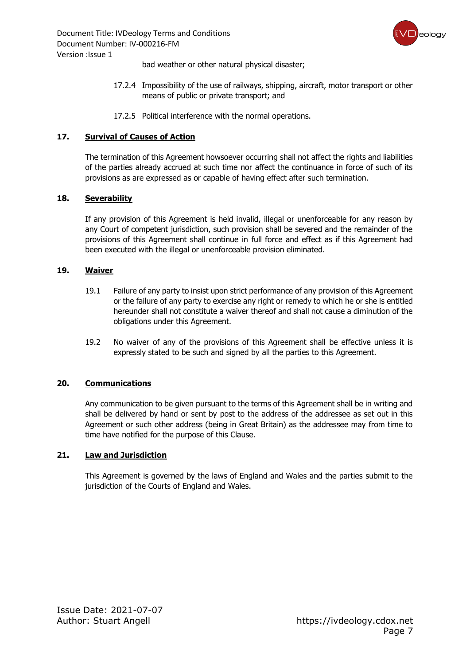

bad weather or other natural physical disaster;

- 17.2.4 Impossibility of the use of railways, shipping, aircraft, motor transport or other means of public or private transport; and
- 17.2.5 Political interference with the normal operations.

#### **17. Survival of Causes of Action**

The termination of this Agreement howsoever occurring shall not affect the rights and liabilities of the parties already accrued at such time nor affect the continuance in force of such of its provisions as are expressed as or capable of having effect after such termination.

#### **18. Severability**

If any provision of this Agreement is held invalid, illegal or unenforceable for any reason by any Court of competent jurisdiction, such provision shall be severed and the remainder of the provisions of this Agreement shall continue in full force and effect as if this Agreement had been executed with the illegal or unenforceable provision eliminated.

#### **19. Waiver**

- 19.1 Failure of any party to insist upon strict performance of any provision of this Agreement or the failure of any party to exercise any right or remedy to which he or she is entitled hereunder shall not constitute a waiver thereof and shall not cause a diminution of the obligations under this Agreement.
- 19.2 No waiver of any of the provisions of this Agreement shall be effective unless it is expressly stated to be such and signed by all the parties to this Agreement.

#### **20. Communications**

Any communication to be given pursuant to the terms of this Agreement shall be in writing and shall be delivered by hand or sent by post to the address of the addressee as set out in this Agreement or such other address (being in Great Britain) as the addressee may from time to time have notified for the purpose of this Clause.

#### **21. Law and Jurisdiction**

This Agreement is governed by the laws of England and Wales and the parties submit to the jurisdiction of the Courts of England and Wales.